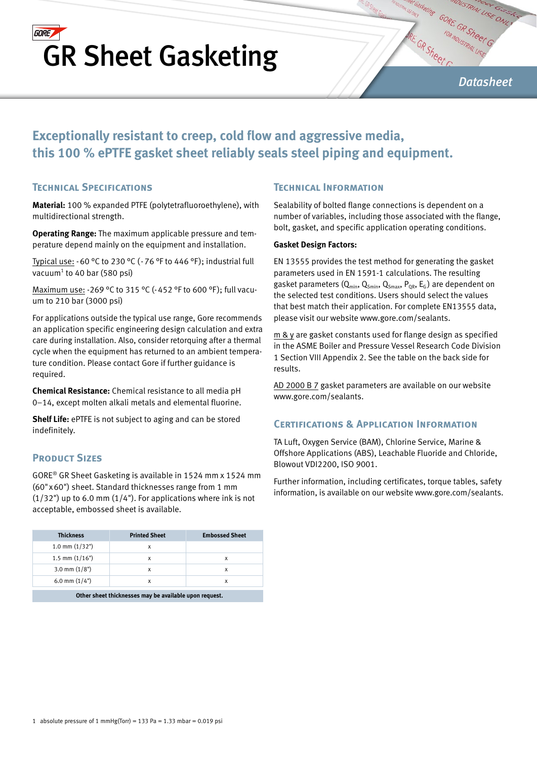# **GORE** GR Sheet Gasketing

*Datasheet*

# **Exceptionally resistant to creep, cold flow and aggressive media, this 100 % ePTFE gasket sheet reliably seals steel piping and equipment.**

### **Technical Specifications**

**Material:** 100 % expanded PTFE (polytetrafluoroethylene), with multidirectional strength.

**Operating Range:** The maximum applicable pressure and temperature depend mainly on the equipment and installation.

Typical use:  $-60$  °C to 230 °C ( $-76$  °F to 446 °F); industrial full vacuum<sup>1</sup> to 40 bar (580 psi)

Maximum use: -269 °C to 315 °C (-452 °F to 600 °F ); full vacuum to 210 bar (3000 psi)

For applications outside the typical use range, Gore recommends an application specific engineering design calculation and extra care during installation. Also, consider retorquing after a thermal cycle when the equipment has returned to an ambient temperature condition. Please contact Gore if further guidance is required.

**Chemical Resistance:** Chemical resistance to all media pH 0–14, except molten alkali metals and elemental fluorine.

**Shelf Life:** ePTFE is not subject to aging and can be stored indefinitely.

### **PRODUCT SIZES**

GORE® GR Sheet Gasketing is available in 1524 mm x 1524 mm (60"x60") sheet. Standard thicknesses range from 1 mm  $(1/32)$ ") up to 6.0 mm  $(1/4)$ . For applications where ink is not acceptable, embossed sheet is available.

| <b>Thickness</b>                                       | <b>Printed Sheet</b> | <b>Embossed Sheet</b> |  |  |  |  |
|--------------------------------------------------------|----------------------|-----------------------|--|--|--|--|
| $1.0$ mm $(1/32")$                                     | х                    |                       |  |  |  |  |
| $1.5$ mm $(1/16")$                                     | х                    | x                     |  |  |  |  |
| 3.0 mm $(1/8")$                                        | х                    | x                     |  |  |  |  |
| 6.0 mm $(1/4")$                                        | x                    | x                     |  |  |  |  |
| Other sheet thicknesses may be available upon request. |                      |                       |  |  |  |  |

## **Technical Information**

Sealability of bolted flange connections is dependent on a number of variables, including those associated with the flange, bolt, gasket, and specific application operating conditions.

ret Gasketing

#### **Gasket Design Factors:**

EN 13555 provides the test method for generating the gasket parameters used in EN 1591-1 calculations. The resulting gasket parameters  $(Q_{min}, Q_{Smin}, Q_{Smax}, P_{QR}, E_G)$  are dependent on the selected test conditions. Users should select the values that best match their application. For complete EN13555 data, please visit our website www.gore.com/sealants.

m & y are gasket constants used for flange design as specified in the ASME Boiler and Pressure Vessel Research Code Division 1 Section VIII Appendix 2. See the table on the back side for results.

AD 2000 B 7 gasket parameters are available on our website www.gore.com/sealants.

#### **Certifications & Application Information**

TA Luft, Oxygen Service (BAM), Chlorine Service, Marine & Offshore Applications (ABS), Leachable Fluoride and Chloride, Blowout VDI2200, ISO 9001.

Further information, including certificates, torque tables, safety information, is available on our website www.gore.com/sealants.